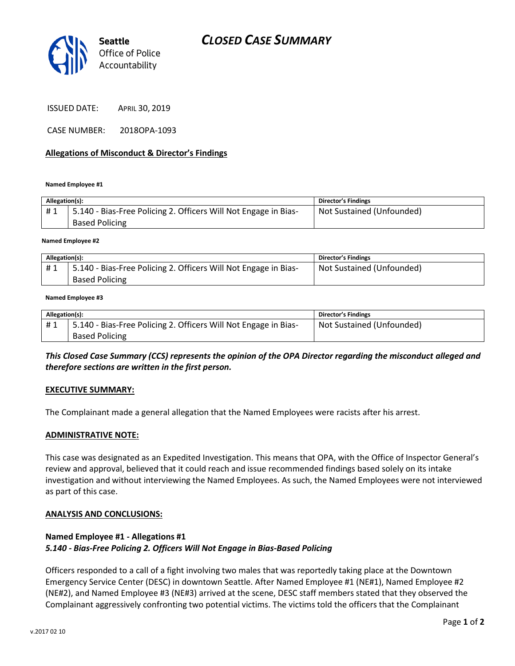

ISSUED DATE: APRIL 30, 2019

CASE NUMBER: 2018OPA-1093

### **Allegations of Misconduct & Director's Findings**

**Named Employee #1**

| Allegation(s): |                                                                                          | <b>Director's Findings</b> |
|----------------|------------------------------------------------------------------------------------------|----------------------------|
| #1             | 5.140 - Bias-Free Policing 2. Officers Will Not Engage in Bias-<br><b>Based Policing</b> | Not Sustained (Unfounded)  |
|                |                                                                                          |                            |

**Named Employee #2**

| Allegation(s): |                                                                 | <b>Director's Findings</b> |
|----------------|-----------------------------------------------------------------|----------------------------|
| #1             | 5.140 - Bias-Free Policing 2. Officers Will Not Engage in Bias- | Not Sustained (Unfounded)  |
|                | <b>Based Policing</b>                                           |                            |

#### **Named Employee #3**

| Allegation(s): |                                                                 | <b>Director's Findings</b> |
|----------------|-----------------------------------------------------------------|----------------------------|
| #1             | 5.140 - Bias-Free Policing 2. Officers Will Not Engage in Bias- | Not Sustained (Unfounded)  |
|                | <b>Based Policing</b>                                           |                            |

## *This Closed Case Summary (CCS) represents the opinion of the OPA Director regarding the misconduct alleged and therefore sections are written in the first person.*

### **EXECUTIVE SUMMARY:**

The Complainant made a general allegation that the Named Employees were racists after his arrest.

### **ADMINISTRATIVE NOTE:**

This case was designated as an Expedited Investigation. This means that OPA, with the Office of Inspector General's review and approval, believed that it could reach and issue recommended findings based solely on its intake investigation and without interviewing the Named Employees. As such, the Named Employees were not interviewed as part of this case.

### **ANALYSIS AND CONCLUSIONS:**

## **Named Employee #1 - Allegations #1** *5.140 - Bias-Free Policing 2. Officers Will Not Engage in Bias-Based Policing*

Officers responded to a call of a fight involving two males that was reportedly taking place at the Downtown Emergency Service Center (DESC) in downtown Seattle. After Named Employee #1 (NE#1), Named Employee #2 (NE#2), and Named Employee #3 (NE#3) arrived at the scene, DESC staff members stated that they observed the Complainant aggressively confronting two potential victims. The victims told the officers that the Complainant